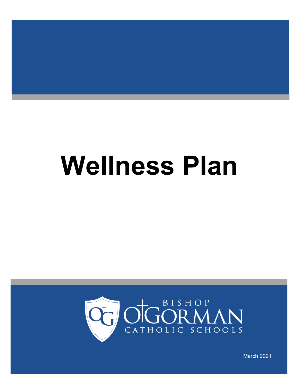# **Wellness Plan**



March 2021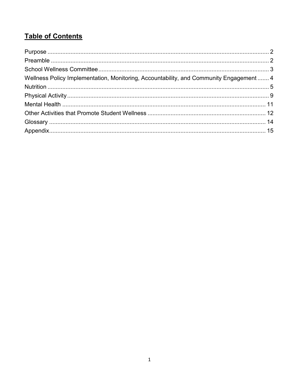# **Table of Contents**

| Wellness Policy Implementation, Monitoring, Accountability, and Community Engagement  4 |  |
|-----------------------------------------------------------------------------------------|--|
|                                                                                         |  |
|                                                                                         |  |
|                                                                                         |  |
|                                                                                         |  |
|                                                                                         |  |
|                                                                                         |  |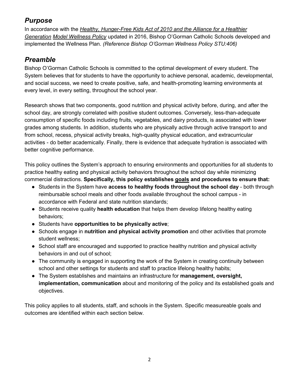# <span id="page-2-0"></span>*Purpose*

In accordance with the *Healthy, Hunger-Free Kids Act of 2010 and the Alliance for a Healthier Generation Model Wellness Policy* updated in 2016, Bishop O'Gorman Catholic Schools developed and implemented the Wellness Plan. *(Reference Bishop O'Gorman Wellness Policy STU:406)*

#### <span id="page-2-1"></span>*Preamble*

Bishop O'Gorman Catholic Schools is committed to the optimal development of every student. The System believes that for students to have the opportunity to achieve personal, academic, developmental, and social success, we need to create positive, safe, and health-promoting learning environments at every level, in every setting, throughout the school year.

Research shows that two components, good nutrition and physical activity before, during, and after the school day, are strongly correlated with positive student outcomes. Conversely, less-than-adequate consumption of specific foods including fruits, vegetables, and dairy products, is associated with lower grades among students. In addition, students who are physically active through active transport to and from school, recess, physical activity breaks, high-quality physical education, and extracurricular activities - do better academically. Finally, there is evidence that adequate hydration is associated with better cognitive performance.

This policy outlines the System's approach to ensuring environments and opportunities for all students to practice healthy eating and physical activity behaviors throughout the school day while minimizing commercial distractions. **Specifically, this policy establishes goals and procedures to ensure that:**

- Students in the System have **access to healthy foods throughout the school day** both through reimbursable school meals and other foods available throughout the school campus - in accordance with Federal and state nutrition standards;
- Students receive quality **health education** that helps them develop lifelong healthy eating behaviors;
- Students have **opportunities to be physically active**;
- Schools engage in **nutrition and physical activity promotion** and other activities that promote student wellness;
- School staff are encouraged and supported to practice healthy nutrition and physical activity behaviors in and out of school;
- The community is engaged in supporting the work of the System in creating continuity between school and other settings for students and staff to practice lifelong healthy habits;
- The System establishes and maintains an infrastructure for **management, oversight, implementation, communication** about and monitoring of the policy and its established goals and objectives.

This policy applies to all students, staff, and schools in the System. Specific measureable goals and outcomes are identified within each section below.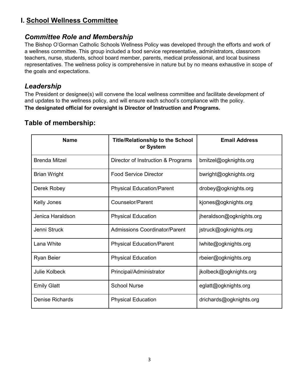#### <span id="page-3-0"></span>**I. School Wellness Committee**

#### *Committee Role and Membership*

The Bishop O'Gorman Catholic Schools Wellness Policy was developed through the efforts and work of a wellness committee. This group included a food service representative, administrators, classroom teachers, nurse, students, school board member, parents, medical professional, and local business representatives. The wellness policy is comprehensive in nature but by no means exhaustive in scope of the goals and expectations.

#### *Leadership*

The President or designee(s) will convene the local wellness committee and facilitate development of and updates to the wellness policy, and will ensure each school's compliance with the policy. **The designated official for oversight is Director of Instruction and Programs.**

#### **Table of membership:**

| <b>Name</b>          | <b>Title/Relationship to the School</b><br>or System | <b>Email Address</b>     |
|----------------------|------------------------------------------------------|--------------------------|
| <b>Brenda Mitzel</b> | Director of Instruction & Programs                   | bmitzel@ogknights.org    |
| Brian Wright         | <b>Food Service Director</b>                         | bwright@ogknights.org    |
| Derek Robey          | <b>Physical Education/Parent</b>                     | drobey@ogknights.org     |
| Kelly Jones          | Counselor/Parent                                     | kjones@ogknights.org     |
| Jenica Haraldson     | <b>Physical Education</b>                            | jheraldson@ogknights.org |
| Jenni Struck         | <b>Admissions Coordinator/Parent</b>                 | jstruck@ogknights.org    |
| Lana White           | <b>Physical Education/Parent</b>                     | lwhite@ogknights.org     |
| Ryan Beier           | <b>Physical Education</b>                            | rbeier@ogknights.org     |
| <b>Julie Kolbeck</b> | Principal/Administrator                              | jkolbeck@ogknights.org   |
| <b>Emily Glatt</b>   | <b>School Nurse</b>                                  | eglatt@ogknights.org     |
| Denise Richards      | <b>Physical Education</b>                            | drichards@ogknights.org  |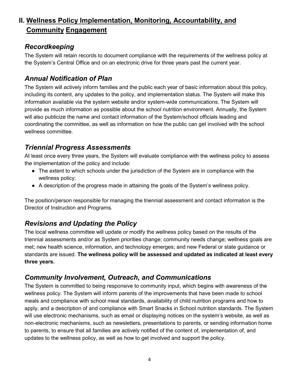# <span id="page-4-0"></span>**II. Wellness Policy Implementation, Monitoring, Accountability, and Community Engagement**

#### *Recordkeeping*

The System will retain records to document compliance with the requirements of the wellness policy at the System's Central Office and on an electronic drive for three years past the current year.

#### *Annual Notification of Plan*

The System will actively inform families and the public each year of basic information about this policy, including its content, any updates to the policy, and implementation status. The System will make this information available via the system website and/or system-wide communications. The System will provide as much information as possible about the school nutrition environment. Annually, the System will also publicize the name and contact information of the System/school officials leading and coordinating the committee, as well as information on how the public can get involved with the school wellness committee.

# *Triennial Progress Assessments*

At least once every three years, the System will evaluate compliance with the wellness policy to assess the implementation of the policy and include:

- The extent to which schools under the jurisdiction of the System are in compliance with the wellness policy;
- A description of the progress made in attaining the goals of the System's wellness policy.

The position/person responsible for managing the triennial assessment and contact information is the Director of Instruction and Programs.

# *Revisions and Updating the Policy*

The local wellness committee will update or modify the wellness policy based on the results of the triennial assessments and/or as System priorities change; community needs change; wellness goals are met; new health science, information, and technology emerges; and new Federal or state guidance or standards are issued. **The wellness policy will be assessed and updated as indicated at least every three years.**

#### *Community Involvement, Outreach, and Communications*

The System is committed to being responsive to community input, which begins with awareness of the wellness policy. The System will inform parents of the improvements that have been made to school meals and compliance with school meal standards, availability of child nutrition programs and how to apply, and a description of and compliance with Smart Snacks in School nutrition standards. The System will use electronic mechanisms, such as email or displaying notices on the system's website, as well as non-electronic mechanisms, such as newsletters, presentations to parents, or sending information home to parents, to ensure that all families are actively notified of the content of, implementation of, and updates to the wellness policy, as well as how to get involved and support the policy.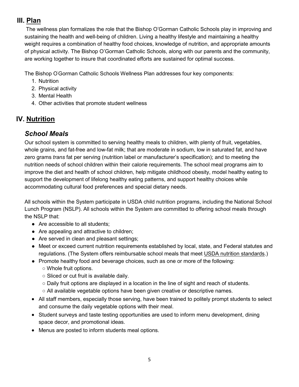#### **III. Plan**

The wellness plan formalizes the role that the Bishop O'Gorman Catholic Schools play in improving and sustaining the health and well-being of children. Living a healthy lifestyle and maintaining a healthy weight requires a combination of healthy food choices, knowledge of nutrition, and appropriate amounts of physical activity. The Bishop O'Gorman Catholic Schools, along with our parents and the community, are working together to insure that coordinated efforts are sustained for optimal success.

The Bishop O' Gorman Catholic Schools Wellness Plan addresses four key components:

- 1. Nutrition
- 2. Physical activity
- 3. Mental Health
- 4. Other activities that promote student wellness

# <span id="page-5-0"></span>**IV. Nutrition**

# *School Meals*

Our school system is committed to serving healthy meals to children, with plenty of fruit, vegetables, whole grains, and fat-free and low-fat milk; that are moderate in sodium, low in saturated fat, and have zero grams *trans* fat per serving (nutrition label or manufacturer's specification); and to meeting the nutrition needs of school children within their calorie requirements. The school meal programs aim to improve the diet and health of school children, help mitigate childhood obesity, model healthy eating to support the development of lifelong healthy eating patterns, and support healthy choices while accommodating cultural food preferences and special dietary needs.

All schools within the System participate in USDA child nutrition programs, including the National School Lunch Program (NSLP). All schools within the System are committed to offering school meals through the NSLP that:

- Are accessible to all students;
- Are appealing and attractive to children;
- Are served in clean and pleasant settings;
- Meet or exceed current nutrition requirements established by local, state, and Federal statutes and regulations. (The System offers reimbursable school meals that meet USDA nutrition standards.)
- Promote healthy food and beverage choices, such as one or more of the following:
	- Whole fruit options.
	- Sliced or cut fruit is available daily.
	- Daily fruit options are displayed in a location in the line of sight and reach of students.
	- All available vegetable options have been given creative or descriptive names.
- All staff members, especially those serving, have been trained to politely prompt students to select and consume the daily vegetable options with their meal.
- Student surveys and taste testing opportunities are used to inform menu development, dining space decor, and promotional ideas.
- Menus are posted to inform students meal options.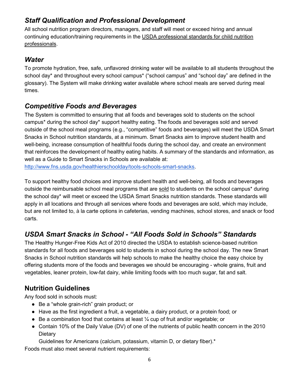#### *Staff Qualification and Professional Development*

All school nutrition program directors, managers, and staff will meet or exceed hiring and annual continuing education/training requirements in the USDA professional standards for child nutrition professionals.

#### *Water*

To promote hydration, free, safe, unflavored drinking water will be available to all students throughout the school day\* and throughout every school campus\* ("school campus" and "school day" are defined in the glossary). The System will make drinking water available where school meals are served during meal times.

#### *Competitive Foods and Beverages*

The System is committed to ensuring that all foods and beverages sold to students on the school campus\* during the school day\* support healthy eating. The foods and beverages sold and served outside of the school meal programs (e.g., "competitive" foods and beverages) will meet the USDA Smart Snacks in School nutrition standards, at a minimum. Smart Snacks aim to improve student health and well-being, increase consumption of healthful foods during the school day, and create an environment that reinforces the development of healthy eating habits. A summary of the standards and information, as well as a Guide to Smart Snacks in Schools are available at:

[http://www.fns.usda.gov/healthierschoolday/tools-schools-smart-snacks.](http://www.fns.usda.gov/healthierschoolday/tools-schools-smart-snacks) 

To support healthy food choices and improve student health and well-being, all foods and beverages outside the reimbursable school meal programs that are sold to students on the school campus\* during the school day\* will meet or exceed the USDA Smart Snacks nutrition standards. These standards will apply in all locations and through all services where foods and beverages are sold, which may include, but are not limited to, à la carte options in cafeterias, vending machines, school stores, and snack or food carts.

# *USDA Smart Snacks in School - "All Foods Sold in Schools" Standards*

The Healthy Hunger-Free Kids Act of 2010 directed the USDA to establish science-based nutrition standards for all foods and beverages sold to students in school during the school day. The new Smart Snacks in School nutrition standards will help schools to make the healthy choice the easy choice by offering students more of the foods and beverages we should be encouraging - whole grains, fruit and vegetables, leaner protein, low-fat dairy, while limiting foods with too much sugar, fat and salt.

# **Nutrition Guidelines**

Any food sold in schools must:

- Be a "whole grain-rich" grain product; or
- Have as the first ingredient a fruit, a vegetable, a dairy product, or a protein food; or
- Be a combination food that contains at least  $\frac{1}{4}$  cup of fruit and/or vegetable; or
- Contain 10% of the Daily Value (DV) of one of the nutrients of public health concern in the 2010 **Dietary**

Guidelines for Americans (calcium, potassium, vitamin D, or dietary fiber).\*

Foods must also meet several nutrient requirements: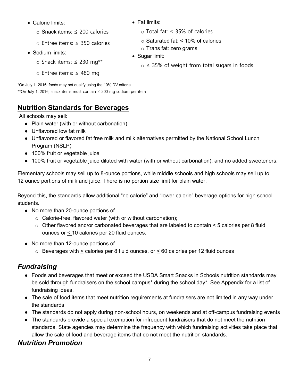- Calorie limits:
	- o Snack items: ≤ 200 calories
	- o Entree items: ≤ 350 calories
- Sodium limits:
	- o Snack items: ≤ 230 mg\*\*
	- o Entree items: ≤ 480 mg
- Fat limits:
	- o Total fat: ≤ 35% of calories
	- o Saturated fat: < 10% of calories
	- o Trans fat: zero grams
- Sugar limit:
	- $\circ$   $\leq$  35% of weight from total sugars in foods

\*On July 1, 2016, foods may not qualify using the 10% DV criteria. \*\*On July 1, 2016, snack items must contain ≤ 200 mg sodium per item

# **Nutrition Standards for Beverages**

All schools may sell:

- Plain water (with or without carbonation)
- Unflavored low fat milk
- Unflavored or flavored fat free milk and milk alternatives permitted by the National School Lunch Program (NSLP)
- 100% fruit or vegetable juice
- 100% fruit or vegetable juice diluted with water (with or without carbonation), and no added sweeteners.

Elementary schools may sell up to 8-ounce portions, while middle schools and high schools may sell up to 12 ounce portions of milk and juice. There is no portion size limit for plain water.

Beyond this, the standards allow additional "no calorie" and "lower calorie" beverage options for high school students.

- No more than 20-ounce portions of
	- $\circ$  Calorie-free, flavored water (with or without carbonation);
	- $\circ$  Other flavored and/or carbonated beverages that are labeled to contain  $\leq$  5 calories per 8 fluid ounces or < 10 calories per 20 fluid ounces.
- No more than 12-ounce portions of
	- $\circ$  Beverages with  $\leq$  calories per 8 fluid ounces, or  $\leq$  60 calories per 12 fluid ounces

# *Fundraising*

- Foods and beverages that meet or exceed the USDA Smart Snacks in Schools nutrition standards may be sold through fundraisers on the school campus\* during the school day\*. See Appendix for a list of fundraising ideas.
- The sale of food items that meet nutrition requirements at fundraisers are not limited in any way under the standards
- The standards do not apply during non-school hours, on weekends and at off-campus fundraising events
- The standards provide a special exemption for infrequent fundraisers that do not meet the nutrition standards. State agencies may determine the frequency with which fundraising activities take place that allow the sale of food and beverage items that do not meet the nutrition standards.

# *Nutrition Promotion*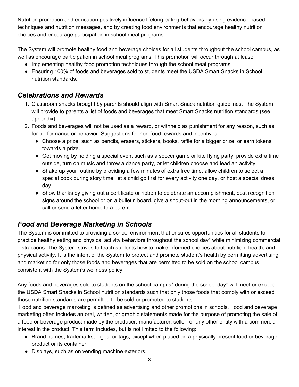Nutrition promotion and education positively influence lifelong eating behaviors by using evidence-based techniques and nutrition messages, and by creating food environments that encourage healthy nutrition choices and encourage participation in school meal programs.

The System will promote healthy food and beverage choices for all students throughout the school campus, as well as encourage participation in school meal programs. This promotion will occur through at least:

- Implementing healthy food promotion techniques through the school meal programs
- Ensuring 100% of foods and beverages sold to students meet the USDA Smart Snacks in School nutrition standards.

#### *Celebrations and Rewards*

- 1. Classroom snacks brought by parents should align with Smart Snack nutrition guidelines. The System will provide to parents a list of foods and beverages that meet Smart Snacks nutrition standards (see appendix)
- 2. Foods and beverages will not be used as a reward, or withheld as punishment for any reason, such as for performance or behavior. Suggestions for non-food rewards and incentives:
	- Choose a prize, such as pencils, erasers, stickers, books, raffle for a bigger prize, or earn tokens towards a prize.
	- Get moving by holding a special event such as a soccer game or kite flying party, provide extra time outside, turn on music and throw a dance party, or let children choose and lead an activity.
	- Shake up your routine by providing a few minutes of extra free time, allow children to select a special book during story time, let a child go first for every activity one day, or host a special dress day.
	- Show thanks by giving out a certificate or ribbon to celebrate an accomplishment, post recognition signs around the school or on a bulletin board, give a shout-out in the morning announcements, or call or send a letter home to a parent.

# *Food and Beverage Marketing in Schools*

The System is committed to providing a school environment that ensures opportunities for all students to practice healthy eating and physical activity behaviors throughout the school day\* while minimizing commercial distractions. The System strives to teach students how to make informed choices about nutrition, health, and physical activity. It is the intent of the System to protect and promote student's health by permitting advertising and marketing for only those foods and beverages that are permitted to be sold on the school campus, consistent with the System's wellness policy.

Any foods and beverages sold to students on the school campus\* during the school day\* will meet or exceed the USDA Smart Snacks in School nutrition standards such that only those foods that comply with or exceed those nutrition standards are permitted to be sold or promoted to students.

Food and beverage marketing is defined as advertising and other promotions in schools. Food and beverage marketing often includes an oral, written, or graphic statements made for the purpose of promoting the sale of a food or beverage product made by the producer, manufacturer, seller, or any other entity with a commercial interest in the product. This term includes, but is not limited to the following:

- Brand names, trademarks, logos, or tags, except when placed on a physically present food or beverage product or its container.
- Displays, such as on vending machine exteriors.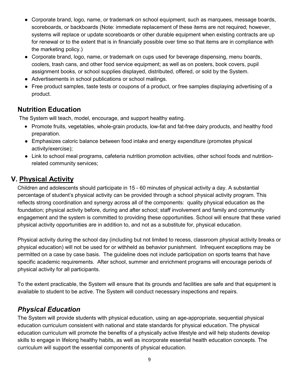- Corporate brand, logo, name, or trademark on school equipment, such as marquees, message boards, scoreboards, or backboards (Note: immediate replacement of these items are not required; however, systems will replace or update scoreboards or other durable equipment when existing contracts are up for renewal or to the extent that is in financially possible over time so that items are in compliance with the marketing policy.)
- Corporate brand, logo, name, or trademark on cups used for beverage dispensing, menu boards, coolers, trash cans, and other food service equipment; as well as on posters, book covers, pupil assignment books, or school supplies displayed, distributed, offered, or sold by the System.
- Advertisements in school publications or school mailings.
- Free product samples, taste tests or coupons of a product, or free samples displaying advertising of a product.

#### **Nutrition Education**

The System will teach, model, encourage, and support healthy eating.

- Promote fruits, vegetables, whole-grain products, low-fat and fat-free dairy products, and healthy food preparation.
- Emphasizes caloric balance between food intake and energy expenditure (promotes physical activity/exercise);
- Link to school meal programs, cafeteria nutrition promotion activities, other school foods and nutritionrelated community services;

# <span id="page-9-0"></span>**V. Physical Activity**

Children and adolescents should participate in 15 - 60 minutes of physical activity a day. A substantial percentage of student's physical activity can be provided through a school physical activity program. This reflects strong coordination and synergy across all of the components: quality physical education as the foundation; physical activity before, during and after school; staff involvement and family and community engagement and the system is committed to providing these opportunities. School will ensure that these varied physical activity opportunities are in addition to, and not as a substitute for, physical education.

Physical activity during the school day (including but not limited to recess, classroom physical activity breaks or physical education) will not be used for or withheld as behavior punishment. Infrequent exceptions may be permitted on a case by case basis. The guideline does not include participation on sports teams that have specific academic requirements. After school, summer and enrichment programs will encourage periods of physical activity for all participants.

To the extent practicable, the System will ensure that its grounds and facilities are safe and that equipment is available to student to be active. The System will conduct necessary inspections and repairs.

# *Physical Education*

The System will provide students with physical education, using an age-appropriate, sequential physical education curriculum consistent with national and state standards for physical education. The physical education curriculum will promote the benefits of a physically active lifestyle and will help students develop skills to engage in lifelong healthy habits, as well as incorporate essential health education concepts. The curriculum will support the essential components of physical education.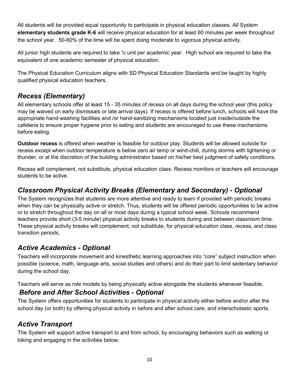All students will be provided equal opportunity to participate in physical education classes. All System **elementary students grade K-6** will receive physical education for at least 60 minutes per week throughout the school year. 50-60% of the time will be spent doing moderate to vigorous physical activity.

All junior high students are required to take  $\frac{1}{2}$  unit per academic year. High school are required to take the equivalent of one academic semester of physical education.

The Physical Education Curriculum aligns with SD Physical Education Standards and be taught by highly qualified physical education teachers.

# *Recess (Elementary)*

All elementary schools offer at least 15 - 35 minutes of recess on all days during the school year (this policy may be waived on early dismissals or late arrival days). If recess is offered before lunch, schools will have the appropriate hand-washing facilities and /or hand-sanitizing mechanisms located just inside/outside the cafeteria to ensure proper hygiene prior to eating and students are encouraged to use these mechanisms before eating.

**Outdoor recess** is offered when weather is feasible for outdoor play. Students will be allowed outside for recess except when outdoor temperature is below zero air temp or wind-chill, during storms with lightening or thunder, or at the discretion of the building administrator based on his/her best judgment of safety conditions.

Recess will complement, not substitute, physical education class. Recess monitors or teachers will encourage students to be active.

#### *Classroom Physical Activity Breaks (Elementary and Secondary) - Optional*

The System recognizes that students are more attentive and ready to learn if provided with periodic breaks when they can be physically active or stretch. Thus, students will be offered periodic opportunities to be active or to stretch throughout the day on all or most days during a typical school week. Schools recommend teachers provide short (3-5 minute) physical activity breaks to students during and between classroom time. These physical activity breaks will complement, not substitute, for physical education class, recess, and class transition periods.

#### *Active Academics - Optional*

Teachers will incorporate movement and kinesthetic learning approaches into "core" subject instruction when possible (science, math, language arts, social studies and others) and do their part to limit sedentary behavior during the school day.

Teachers will serve as role models by being physically active alongside the students whenever feasible.

#### *Before and After School Activities - Optional*

The System offers opportunities for students to participate in physical activity either before and/or after the school day (or both) by offering physical activity in before and after school care, and interscholastic sports.

#### *Active Transport*

The System will support active transport to and from school, by encouraging behaviors such as walking or biking and engaging in the activities below.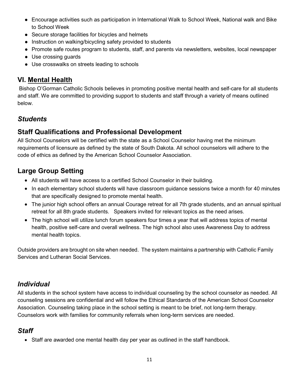- Encourage activities such as participation in International Walk to School Week, National walk and Bike to School Week
- Secure storage facilities for bicycles and helmets
- Instruction on walking/bicycling safety provided to students
- Promote safe routes program to students, staff, and parents via newsletters, websites, local newspaper
- Use crossing guards
- Use crosswalks on streets leading to schools

# <span id="page-11-0"></span>**VI. Mental Health**

Bishop O'Gorman Catholic Schools believes in promoting positive mental health and self-care for all students and staff. We are committed to providing support to students and staff through a variety of means outlined below.

# *Students*

# **Staff Qualifications and Professional Development**

All School Counselors will be certified with the state as a School Counselor having met the minimum requirements of licensure as defined by the state of South Dakota. All school counselors will adhere to the code of ethics as defined by the American School Counselor Association.

# **Large Group Setting**

- All students will have access to a certified School Counselor in their building.
- In each elementary school students will have classroom guidance sessions twice a month for 40 minutes that are specifically designed to promote mental health.
- The junior high school offers an annual Courage retreat for all 7th grade students, and an annual spiritual retreat for all 8th grade students. Speakers invited for relevant topics as the need arises.
- The high school will utilize lunch forum speakers four times a year that will address topics of mental health, positive self-care and overall wellness. The high school also uses Awareness Day to address mental health topics.

Outside providers are brought on site when needed. The system maintains a partnership with Catholic Family Services and Lutheran Social Services.

# *Individual*

All students in the school system have access to individual counseling by the school counselor as needed. All counseling sessions are confidential and will follow the Ethical Standards of the American School Counselor Association. Counseling taking place in the school setting is meant to be brief, not long-term therapy. Counselors work with families for community referrals when long-term services are needed.

# *Staff*

• Staff are awarded one mental health day per year as outlined in the staff handbook.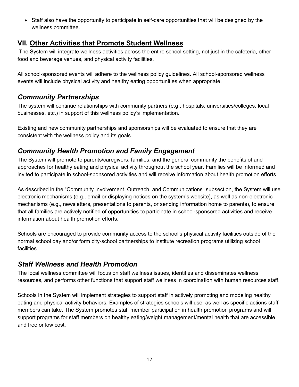• Staff also have the opportunity to participate in self-care opportunities that will be designed by the wellness committee.

#### <span id="page-12-0"></span>**VII. Other Activities that Promote Student Wellness**

The System will integrate wellness activities across the entire school setting, not just in the cafeteria, other food and beverage venues, and physical activity facilities.

All school-sponsored events will adhere to the wellness policy guidelines. All school-sponsored wellness events will include physical activity and healthy eating opportunities when appropriate.

#### *Community Partnerships*

The system will continue relationships with community partners (e.g., hospitals, universities/colleges, local businesses, etc.) in support of this wellness policy's implementation.

Existing and new community partnerships and sponsorships will be evaluated to ensure that they are consistent with the wellness policy and its goals.

# *Community Health Promotion and Family Engagement*

The System will promote to parents/caregivers, families, and the general community the benefits of and approaches for healthy eating and physical activity throughout the school year. Families will be informed and invited to participate in school-sponsored activities and will receive information about health promotion efforts.

As described in the "Community Involvement, Outreach, and Communications" subsection, the System will use electronic mechanisms (e.g., email or displaying notices on the system's website), as well as non-electronic mechanisms (e.g., newsletters, presentations to parents, or sending information home to parents), to ensure that all families are actively notified of opportunities to participate in school-sponsored activities and receive information about health promotion efforts.

Schools are encouraged to provide community access to the school's physical activity facilities outside of the normal school day and/or form city-school partnerships to institute recreation programs utilizing school facilities.

# *Staff Wellness and Health Promotion*

The local wellness committee will focus on staff wellness issues, identifies and disseminates wellness resources, and performs other functions that support staff wellness in coordination with human resources staff.

Schools in the System will implement strategies to support staff in actively promoting and modeling healthy eating and physical activity behaviors. Examples of strategies schools will use, as well as specific actions staff members can take. The System promotes staff member participation in health promotion programs and will support programs for staff members on healthy eating/weight management/mental health that are accessible and free or low cost.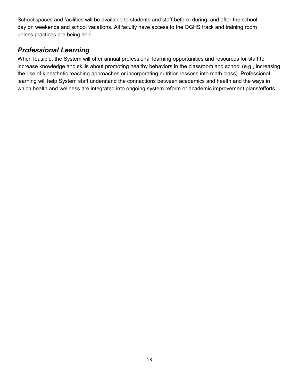School spaces and facilities will be available to students and staff before, during, and after the school day on weekends and school vacations. All faculty have access to the OGHS track and training room unless practices are being held.

#### *Professional Learning*

<span id="page-13-0"></span>When feasible, the System will offer annual professional learning opportunities and resources for staff to increase knowledge and skills about promoting healthy behaviors in the classroom and school (e.g., increasing the use of kinesthetic teaching approaches or incorporating nutrition lessons into math class). Professional learning will help System staff understand the connections between academics and health and the ways in which health and wellness are integrated into ongoing system reform or academic improvement plans/efforts.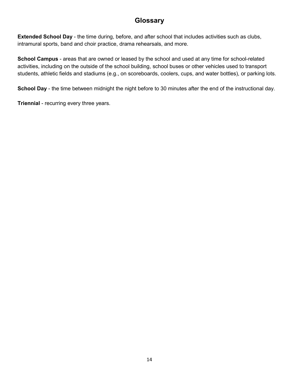#### **Glossary**

**Extended School Day** - the time during, before, and after school that includes activities such as clubs, intramural sports, band and choir practice, drama rehearsals, and more.

**School Campus** - areas that are owned or leased by the school and used at any time for school-related activities, including on the outside of the school building, school buses or other vehicles used to transport students, athletic fields and stadiums (e.g., on scoreboards, coolers, cups, and water bottles), or parking lots.

**School Day** - the time between midnight the night before to 30 minutes after the end of the instructional day.

<span id="page-14-0"></span>**Triennial** - recurring every three years.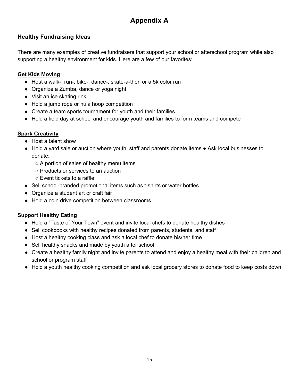# **Appendix A**

#### **Healthy Fundraising Ideas**

There are many examples of creative fundraisers that support your school or afterschool program while also supporting a healthy environment for kids. Here are a few of our favorites:

#### **Get Kids Moving**

- Host a walk-, run-, bike-, dance-, skate-a-thon or a 5k color run
- Organize a Zumba, dance or yoga night
- Visit an ice skating rink
- Hold a jump rope or hula hoop competition
- Create a team sports tournament for youth and their families
- Hold a field day at school and encourage youth and families to form teams and compete

#### **Spark Creativity**

- Host a talent show
- Hold a yard sale or auction where youth, staff and parents donate items Ask local businesses to donate:
	- $\circ$  A portion of sales of healthy menu items
	- Products or services to an auction
	- Event tickets to a raffle
- Sell school-branded promotional items such as t-shirts or water bottles
- Organize a student art or craft fair
- Hold a coin drive competition between classrooms

#### **Support Healthy Eating**

- Hold a "Taste of Your Town" event and invite local chefs to donate healthy dishes
- Sell cookbooks with healthy recipes donated from parents, students, and staff
- Host a healthy cooking class and ask a local chef to donate his/her time
- Sell healthy snacks and made by youth after school
- Create a healthy family night and invite parents to attend and enjoy a healthy meal with their children and school or program staff
- Hold a youth healthy cooking competition and ask local grocery stores to donate food to keep costs down